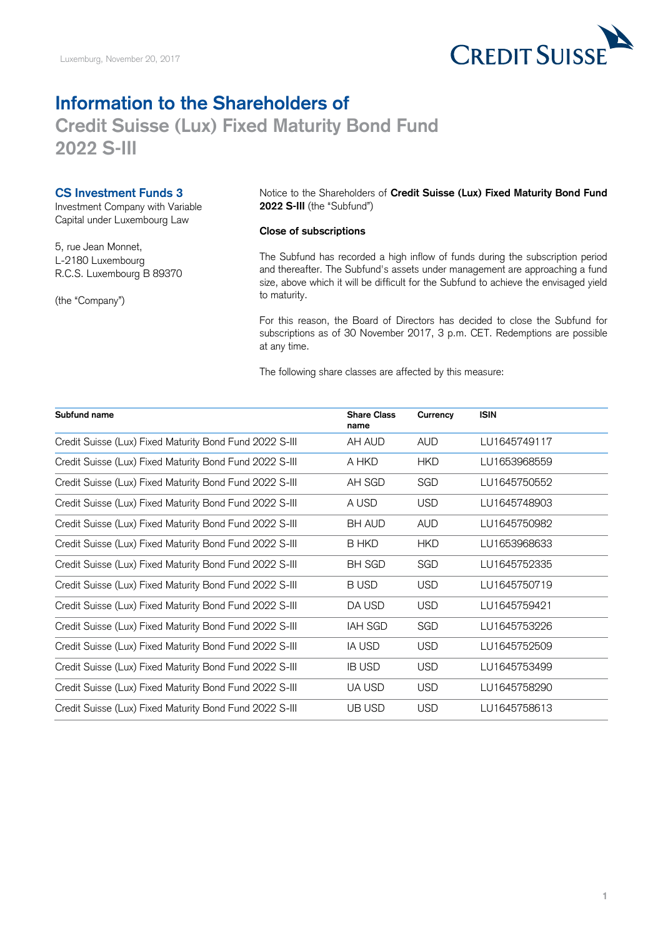

## **Credit Suisse (Lux) Fixed Maturity Bond Fund Information to the Shareholders of 2022 S-III**

## **CS Investment Funds 3**

Investment Company with Variable Capital under Luxembourg Law

5, rue Jean Monnet, L-2180 Luxembourg R.C.S. Luxembourg B 89370

(the "Company")

Notice to the Shareholders of **Credit Suisse (Lux) Fixed Maturity Bond Fund 2022 S-III** (the "Subfund")

## **Close of subscriptions**

 The Subfund has recorded a high inflow of funds during the subscription period size, above which it will be difficult for the Subfund to achieve the envisaged yield and thereafter. The Subfund's assets under management are approaching a fund to maturity.

 For this reason, the Board of Directors has decided to close the Subfund for subscriptions as of 30 November 2017, 3 p.m. CET. Redemptions are possible at any time.

The following share classes are affected by this measure:

| Subfund name                                            | <b>Share Class</b><br>name | Currency   | <b>ISIN</b>  |
|---------------------------------------------------------|----------------------------|------------|--------------|
| Credit Suisse (Lux) Fixed Maturity Bond Fund 2022 S-III | AH AUD                     | <b>AUD</b> | LU1645749117 |
| Credit Suisse (Lux) Fixed Maturity Bond Fund 2022 S-III | A HKD                      | <b>HKD</b> | LU1653968559 |
| Credit Suisse (Lux) Fixed Maturity Bond Fund 2022 S-III | AH SGD                     | SGD        | LU1645750552 |
| Credit Suisse (Lux) Fixed Maturity Bond Fund 2022 S-III | A USD                      | <b>USD</b> | LU1645748903 |
| Credit Suisse (Lux) Fixed Maturity Bond Fund 2022 S-III | <b>BH AUD</b>              | <b>AUD</b> | LU1645750982 |
| Credit Suisse (Lux) Fixed Maturity Bond Fund 2022 S-III | B HKD                      | <b>HKD</b> | LU1653968633 |
| Credit Suisse (Lux) Fixed Maturity Bond Fund 2022 S-III | <b>BH SGD</b>              | SGD        | LU1645752335 |
| Credit Suisse (Lux) Fixed Maturity Bond Fund 2022 S-III | <b>BUSD</b>                | <b>USD</b> | LU1645750719 |
| Credit Suisse (Lux) Fixed Maturity Bond Fund 2022 S-III | DA USD                     | <b>USD</b> | LU1645759421 |
| Credit Suisse (Lux) Fixed Maturity Bond Fund 2022 S-III | <b>IAH SGD</b>             | SGD        | LU1645753226 |
| Credit Suisse (Lux) Fixed Maturity Bond Fund 2022 S-III | IA USD                     | <b>USD</b> | LU1645752509 |
| Credit Suisse (Lux) Fixed Maturity Bond Fund 2022 S-III | <b>IB USD</b>              | <b>USD</b> | LU1645753499 |
| Credit Suisse (Lux) Fixed Maturity Bond Fund 2022 S-III | UA USD                     | <b>USD</b> | LU1645758290 |
| Credit Suisse (Lux) Fixed Maturity Bond Fund 2022 S-III | UB USD                     | <b>USD</b> | LU1645758613 |